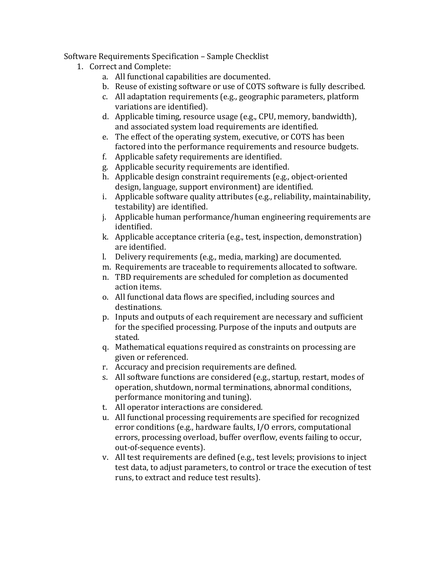## Software Requirements Specification – Sample Checklist

- 1. Correct and Complete:
	- a. All functional capabilities are documented.
	- b. Reuse of existing software or use of COTS software is fully described.
	- c. All adaptation requirements (e.g., geographic parameters, platform variations are identified).
	- d. Applicable timing, resource usage (e.g., CPU, memory, bandwidth), and associated system load requirements are identified.
	- e. The effect of the operating system, executive, or COTS has been factored into the performance requirements and resource budgets.
	- f. Applicable safety requirements are identified.
	- g. Applicable security requirements are identified.
	- h. Applicable design constraint requirements (e.g., object-oriented design, language, support environment) are identified.
	- i. Applicable software quality attributes (e.g., reliability, maintainability, testability) are identified.
	- j. Applicable human performance/human engineering requirements are identified.
	- k. Applicable acceptance criteria (e.g., test, inspection, demonstration) are identified.
	- l. Delivery requirements (e.g., media, marking) are documented.
	- m. Requirements are traceable to requirements allocated to software.
	- n. TBD requirements are scheduled for completion as documented action items.
	- o. All functional data flows are specified, including sources and destinations.
	- p. Inputs and outputs of each requirement are necessary and sufficient for the specified processing. Purpose of the inputs and outputs are stated.
	- q. Mathematical equations required as constraints on processing are given or referenced.
	- r. Accuracy and precision requirements are defined.
	- s. All software functions are considered (e.g., startup, restart, modes of operation, shutdown, normal terminations, abnormal conditions, performance monitoring and tuning).
	- t. All operator interactions are considered.
	- u. All functional processing requirements are specified for recognized error conditions (e.g., hardware faults, I/O errors, computational errors, processing overload, buffer overflow, events failing to occur, out-of-sequence events).
	- v. All test requirements are defined (e.g., test levels; provisions to inject test data, to adjust parameters, to control or trace the execution of test runs, to extract and reduce test results).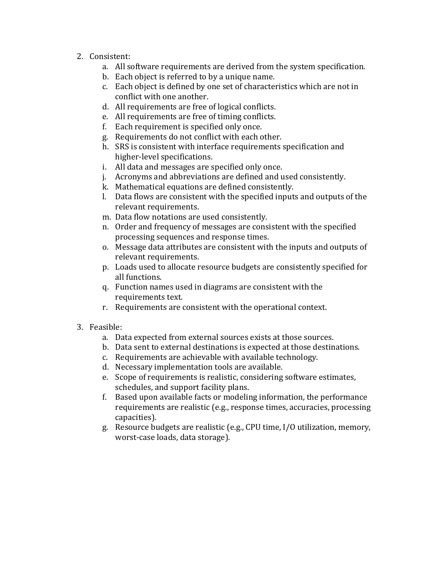- 2. Consistent:
	- a. All software requirements are derived from the system specification.
	- b. Each object is referred to by a unique name.
	- c. Each object is defined by one set of characteristics which are not in conflict with one another.
	- d. All requirements are free of logical conflicts.
	- e. All requirements are free of timing conflicts.
	- f. Each requirement is specified only once.
	- g. Requirements do not conflict with each other.
	- h. SRS is consistent with interface requirements specification and higher-level specifications.
	- i. All data and messages are specified only once.
	- j. Acronyms and abbreviations are defined and used consistently.
	- k. Mathematical equations are defined consistently.
	- l. Data flows are consistent with the specified inputs and outputs of the relevant requirements.
	- m. Data flow notations are used consistently.
	- n. Order and frequency of messages are consistent with the specified processing sequences and response times.
	- o. Message data attributes are consistent with the inputs and outputs of relevant requirements.
	- p. Loads used to allocate resource budgets are consistently specified for all functions.
	- q. Function names used in diagrams are consistent with the requirements text.
	- r. Requirements are consistent with the operational context.
- 3. Feasible:
	- a. Data expected from external sources exists at those sources.
	- b. Data sent to external destinations is expected at those destinations.
	- c. Requirements are achievable with available technology.
	- d. Necessary implementation tools are available.
	- e. Scope of requirements is realistic, considering software estimates, schedules, and support facility plans.
	- f. Based upon available facts or modeling information, the performance requirements are realistic (e.g., response times, accuracies, processing capacities).
	- g. Resource budgets are realistic (e.g., CPU time, I/O utilization, memory, worst-case loads, data storage).